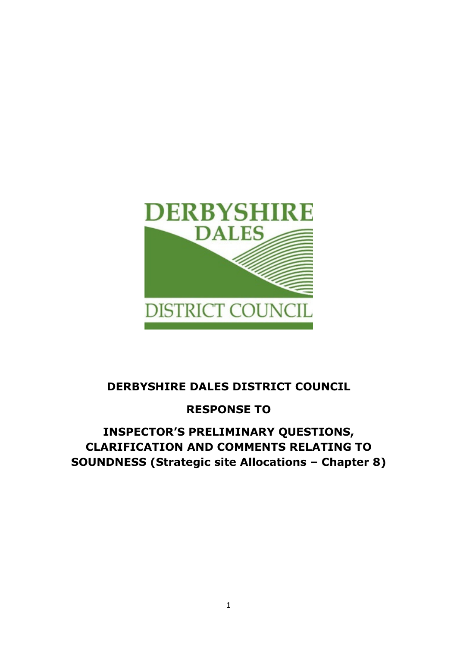

# DERBYSHIRE DALES DISTRICT COUNCIL

# RESPONSE TO

# INSPECTOR'S PRELIMINARY QUESTIONS, CLARIFICATION AND COMMENTS RELATING TO SOUNDNESS (Strategic site Allocations – Chapter 8)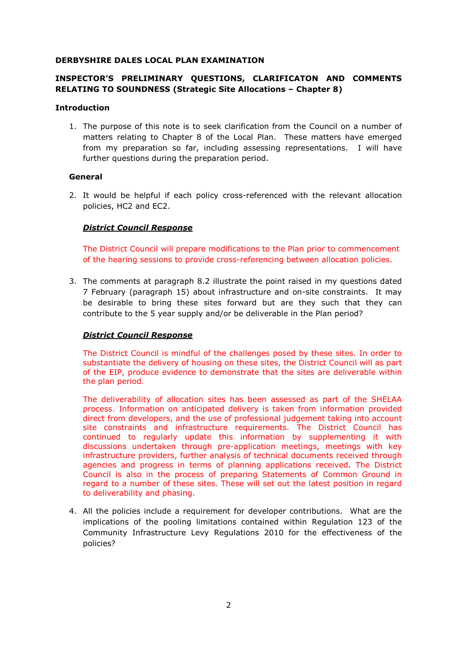### DERBYSHIRE DALES LOCAL PLAN EXAMINATION

# INSPECTOR'S PRELIMINARY QUESTIONS, CLARIFICATON AND COMMENTS RELATING TO SOUNDNESS (Strategic Site Allocations – Chapter 8)

#### Introduction

1. The purpose of this note is to seek clarification from the Council on a number of matters relating to Chapter 8 of the Local Plan. These matters have emerged from my preparation so far, including assessing representations. I will have further questions during the preparation period.

### General

2. It would be helpful if each policy cross-referenced with the relevant allocation policies, HC2 and EC2.

# District Council Response

The District Council will prepare modifications to the Plan prior to commencement of the hearing sessions to provide cross-referencing between allocation policies.

3. The comments at paragraph 8.2 illustrate the point raised in my questions dated 7 February (paragraph 15) about infrastructure and on-site constraints. It may be desirable to bring these sites forward but are they such that they can contribute to the 5 year supply and/or be deliverable in the Plan period?

# District Council Response

The District Council is mindful of the challenges posed by these sites. In order to substantiate the delivery of housing on these sites, the District Council will as part of the EIP, produce evidence to demonstrate that the sites are deliverable within the plan period.

The deliverability of allocation sites has been assessed as part of the SHELAA process. Information on anticipated delivery is taken from information provided direct from developers, and the use of professional judgement taking into account site constraints and infrastructure requirements. The District Council has continued to regularly update this information by supplementing it with discussions undertaken through pre-application meetings, meetings with key infrastructure providers, further analysis of technical documents received through agencies and progress in terms of planning applications received. The District Council is also in the process of preparing Statements of Common Ground in regard to a number of these sites. These will set out the latest position in regard to deliverability and phasing.

4. All the policies include a requirement for developer contributions. What are the implications of the pooling limitations contained within Regulation 123 of the Community Infrastructure Levy Regulations 2010 for the effectiveness of the policies?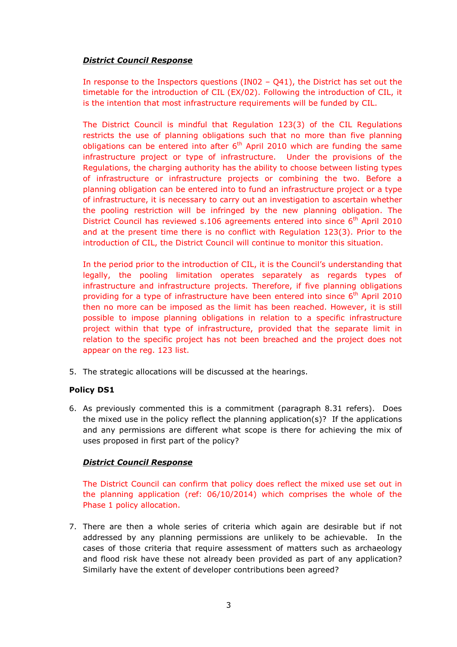# District Council Response

In response to the Inspectors questions (IN02 – Q41), the District has set out the timetable for the introduction of CIL (EX/02). Following the introduction of CIL, it is the intention that most infrastructure requirements will be funded by CIL.

The District Council is mindful that Regulation 123(3) of the CIL Regulations restricts the use of planning obligations such that no more than five planning obligations can be entered into after  $6<sup>th</sup>$  April 2010 which are funding the same infrastructure project or type of infrastructure. Under the provisions of the Regulations, the charging authority has the ability to choose between listing types of infrastructure or infrastructure projects or combining the two. Before a planning obligation can be entered into to fund an infrastructure project or a type of infrastructure, it is necessary to carry out an investigation to ascertain whether the pooling restriction will be infringed by the new planning obligation. The District Council has reviewed s.106 agreements entered into since 6<sup>th</sup> April 2010 and at the present time there is no conflict with Regulation 123(3). Prior to the introduction of CIL, the District Council will continue to monitor this situation.

In the period prior to the introduction of CIL, it is the Council's understanding that legally, the pooling limitation operates separately as regards types of infrastructure and infrastructure projects. Therefore, if five planning obligations providing for a type of infrastructure have been entered into since  $6<sup>th</sup>$  April 2010 then no more can be imposed as the limit has been reached. However, it is still possible to impose planning obligations in relation to a specific infrastructure project within that type of infrastructure, provided that the separate limit in relation to the specific project has not been breached and the project does not appear on the reg. 123 list.

5. The strategic allocations will be discussed at the hearings.

# Policy DS1

6. As previously commented this is a commitment (paragraph 8.31 refers). Does the mixed use in the policy reflect the planning application(s)? If the applications and any permissions are different what scope is there for achieving the mix of uses proposed in first part of the policy?

# District Council Response

The District Council can confirm that policy does reflect the mixed use set out in the planning application (ref: 06/10/2014) which comprises the whole of the Phase 1 policy allocation.

7. There are then a whole series of criteria which again are desirable but if not addressed by any planning permissions are unlikely to be achievable. In the cases of those criteria that require assessment of matters such as archaeology and flood risk have these not already been provided as part of any application? Similarly have the extent of developer contributions been agreed?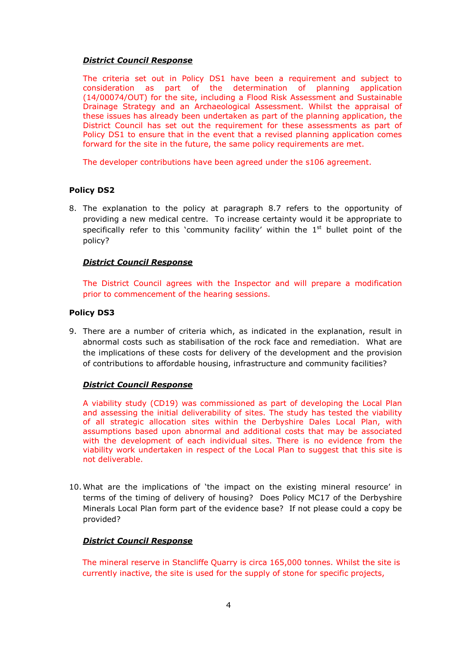### District Council Response

The criteria set out in Policy DS1 have been a requirement and subject to consideration as part of the determination of planning application (14/00074/OUT) for the site, including a Flood Risk Assessment and Sustainable Drainage Strategy and an Archaeological Assessment. Whilst the appraisal of these issues has already been undertaken as part of the planning application, the District Council has set out the requirement for these assessments as part of Policy DS1 to ensure that in the event that a revised planning application comes forward for the site in the future, the same policy requirements are met.

The developer contributions have been agreed under the s106 agreement.

# Policy DS2

8. The explanation to the policy at paragraph 8.7 refers to the opportunity of providing a new medical centre. To increase certainty would it be appropriate to specifically refer to this 'community facility' within the  $1<sup>st</sup>$  bullet point of the policy?

# District Council Response

The District Council agrees with the Inspector and will prepare a modification prior to commencement of the hearing sessions.

# Policy DS3

9. There are a number of criteria which, as indicated in the explanation, result in abnormal costs such as stabilisation of the rock face and remediation. What are the implications of these costs for delivery of the development and the provision of contributions to affordable housing, infrastructure and community facilities?

# District Council Response

A viability study (CD19) was commissioned as part of developing the Local Plan and assessing the initial deliverability of sites. The study has tested the viability of all strategic allocation sites within the Derbyshire Dales Local Plan, with assumptions based upon abnormal and additional costs that may be associated with the development of each individual sites. There is no evidence from the viability work undertaken in respect of the Local Plan to suggest that this site is not deliverable.

10. What are the implications of 'the impact on the existing mineral resource' in terms of the timing of delivery of housing? Does Policy MC17 of the Derbyshire Minerals Local Plan form part of the evidence base? If not please could a copy be provided?

# District Council Response

 The mineral reserve in Stancliffe Quarry is circa 165,000 tonnes. Whilst the site is currently inactive, the site is used for the supply of stone for specific projects,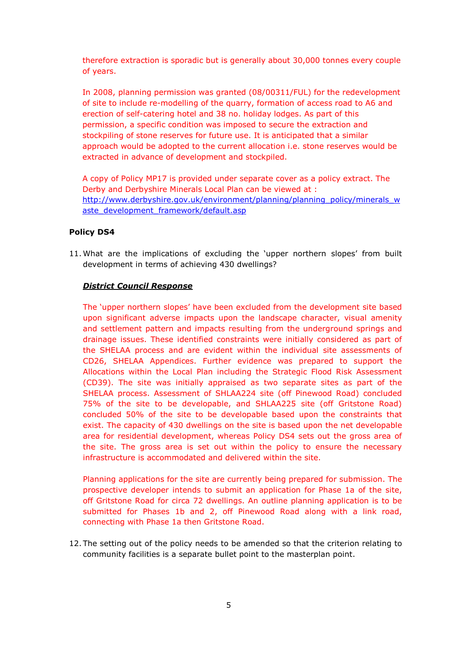therefore extraction is sporadic but is generally about 30,000 tonnes every couple of years.

 In 2008, planning permission was granted (08/00311/FUL) for the redevelopment of site to include re-modelling of the quarry, formation of access road to A6 and erection of self-catering hotel and 38 no. holiday lodges. As part of this permission, a specific condition was imposed to secure the extraction and stockpiling of stone reserves for future use. It is anticipated that a similar approach would be adopted to the current allocation i.e. stone reserves would be extracted in advance of development and stockpiled.

 A copy of Policy MP17 is provided under separate cover as a policy extract. The Derby and Derbyshire Minerals Local Plan can be viewed at : http://www.derbyshire.gov.uk/environment/planning/planning\_policy/minerals\_w aste\_development\_framework/default.asp

### Policy DS4

11. What are the implications of excluding the 'upper northern slopes' from built development in terms of achieving 430 dwellings?

### District Council Response

The 'upper northern slopes' have been excluded from the development site based upon significant adverse impacts upon the landscape character, visual amenity and settlement pattern and impacts resulting from the underground springs and drainage issues. These identified constraints were initially considered as part of the SHELAA process and are evident within the individual site assessments of CD26, SHELAA Appendices. Further evidence was prepared to support the Allocations within the Local Plan including the Strategic Flood Risk Assessment (CD39). The site was initially appraised as two separate sites as part of the SHELAA process. Assessment of SHLAA224 site (off Pinewood Road) concluded 75% of the site to be developable, and SHLAA225 site (off Gritstone Road) concluded 50% of the site to be developable based upon the constraints that exist. The capacity of 430 dwellings on the site is based upon the net developable area for residential development, whereas Policy DS4 sets out the gross area of the site. The gross area is set out within the policy to ensure the necessary infrastructure is accommodated and delivered within the site.

Planning applications for the site are currently being prepared for submission. The prospective developer intends to submit an application for Phase 1a of the site, off Gritstone Road for circa 72 dwellings. An outline planning application is to be submitted for Phases 1b and 2, off Pinewood Road along with a link road, connecting with Phase 1a then Gritstone Road.

12. The setting out of the policy needs to be amended so that the criterion relating to community facilities is a separate bullet point to the masterplan point.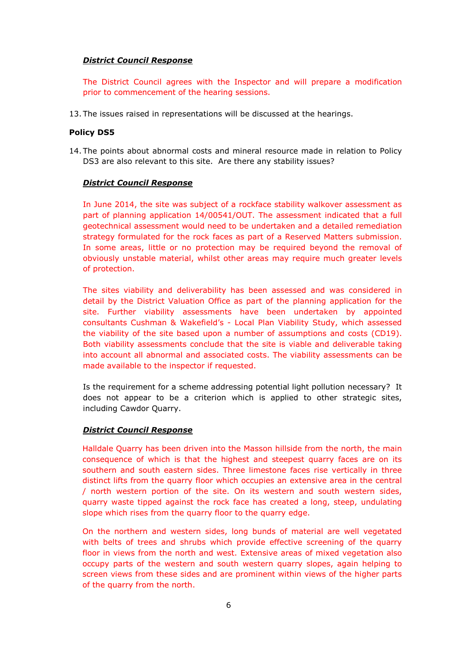## District Council Response

The District Council agrees with the Inspector and will prepare a modification prior to commencement of the hearing sessions.

13. The issues raised in representations will be discussed at the hearings.

#### Policy DS5

14. The points about abnormal costs and mineral resource made in relation to Policy DS3 are also relevant to this site. Are there any stability issues?

### District Council Response

In June 2014, the site was subject of a rockface stability walkover assessment as part of planning application 14/00541/OUT. The assessment indicated that a full geotechnical assessment would need to be undertaken and a detailed remediation strategy formulated for the rock faces as part of a Reserved Matters submission. In some areas, little or no protection may be required beyond the removal of obviously unstable material, whilst other areas may require much greater levels of protection.

The sites viability and deliverability has been assessed and was considered in detail by the District Valuation Office as part of the planning application for the site. Further viability assessments have been undertaken by appointed consultants Cushman & Wakefield's - Local Plan Viability Study, which assessed the viability of the site based upon a number of assumptions and costs (CD19). Both viability assessments conclude that the site is viable and deliverable taking into account all abnormal and associated costs. The viability assessments can be made available to the inspector if requested.

Is the requirement for a scheme addressing potential light pollution necessary? It does not appear to be a criterion which is applied to other strategic sites, including Cawdor Quarry.

#### District Council Response

Halldale Quarry has been driven into the Masson hillside from the north, the main consequence of which is that the highest and steepest quarry faces are on its southern and south eastern sides. Three limestone faces rise vertically in three distinct lifts from the quarry floor which occupies an extensive area in the central / north western portion of the site. On its western and south western sides, quarry waste tipped against the rock face has created a long, steep, undulating slope which rises from the quarry floor to the quarry edge.

On the northern and western sides, long bunds of material are well vegetated with belts of trees and shrubs which provide effective screening of the quarry floor in views from the north and west. Extensive areas of mixed vegetation also occupy parts of the western and south western quarry slopes, again helping to screen views from these sides and are prominent within views of the higher parts of the quarry from the north.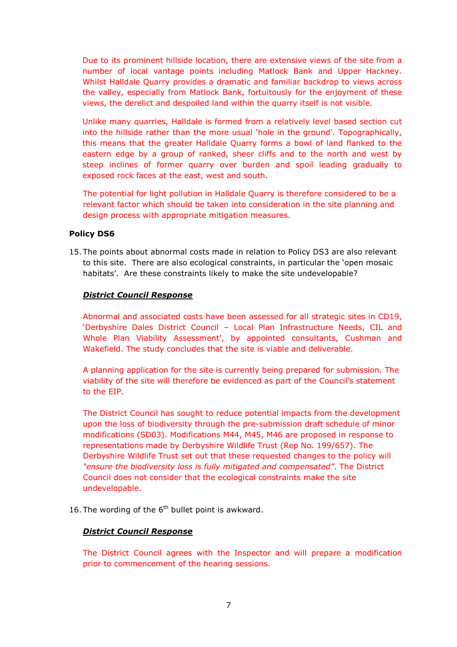Due to its prominent hillside location, there are extensive views of the site from a number of local vantage points including Matlock Bank and Upper Hackney. Whilst Halldale Quarry provides a dramatic and familiar backdrop to views across the valley, especially from Matlock Bank, fortuitously for the enjoyment of these views, the derelict and despoiled land within the quarry itself is not visible.

Unlike many quarries, Halldale is formed from a relatively level based section cut into the hillside rather than the more usual 'hole in the ground'. Topographically, this means that the greater Halldale Quarry forms a bowl of land flanked to the eastern edge by a group of ranked, sheer cliffs and to the north and west by steep inclines of former quarry over burden and spoil leading gradually to exposed rock faces at the east, west and south.

The potential for light pollution in Halldale Quarry is therefore considered to be a relevant factor which should be taken into consideration in the site planning and design process with appropriate mitigation measures.

### Policy DS6

15. The points about abnormal costs made in relation to Policy DS3 are also relevant to this site. There are also ecological constraints, in particular the 'open mosaic habitats'. Are these constraints likely to make the site undevelopable?

### District Council Response

Abnormal and associated costs have been assessed for all strategic sites in CD19, 'Derbyshire Dales District Council – Local Plan Infrastructure Needs, CIL and Whole Plan Viability Assessment', by appointed consultants, Cushman and Wakefield. The study concludes that the site is viable and deliverable.

A planning application for the site is currently being prepared for submission. The viability of the site will therefore be evidenced as part of the Council's statement to the EIP.

The District Council has sought to reduce potential impacts from the development upon the loss of biodiversity through the pre-submission draft schedule of minor modifications (SD03). Modifications M44, M45, M46 are proposed in response to representations made by Derbyshire Wildlife Trust (Rep No. 199/657). The Derbyshire Wildlife Trust set out that these requested changes to the policy will "ensure the biodiversity loss is fully mitigated and compensated". The District Council does not consider that the ecological constraints make the site undevelopable.

16. The wording of the  $6<sup>th</sup>$  bullet point is awkward.

#### District Council Response

The District Council agrees with the Inspector and will prepare a modification prior to commencement of the hearing sessions.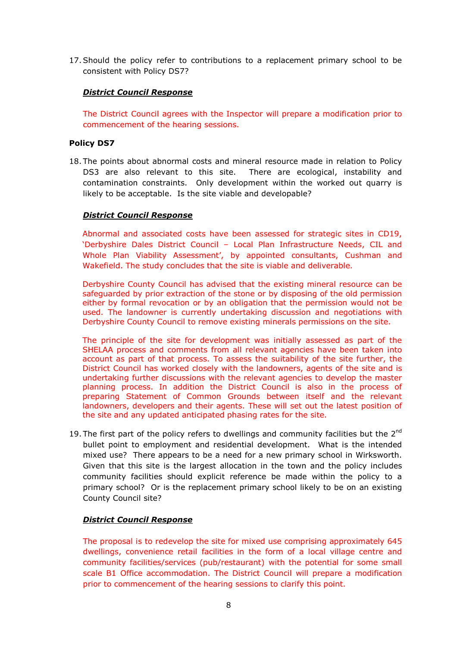17.Should the policy refer to contributions to a replacement primary school to be consistent with Policy DS7?

# District Council Response

The District Council agrees with the Inspector will prepare a modification prior to commencement of the hearing sessions.

## Policy DS7

18. The points about abnormal costs and mineral resource made in relation to Policy DS3 are also relevant to this site. There are ecological, instability and contamination constraints. Only development within the worked out quarry is likely to be acceptable. Is the site viable and developable?

### District Council Response

Abnormal and associated costs have been assessed for strategic sites in CD19, 'Derbyshire Dales District Council – Local Plan Infrastructure Needs, CIL and Whole Plan Viability Assessment', by appointed consultants, Cushman and Wakefield. The study concludes that the site is viable and deliverable.

Derbyshire County Council has advised that the existing mineral resource can be safeguarded by prior extraction of the stone or by disposing of the old permission either by formal revocation or by an obligation that the permission would not be used. The landowner is currently undertaking discussion and negotiations with Derbyshire County Council to remove existing minerals permissions on the site.

The principle of the site for development was initially assessed as part of the SHELAA process and comments from all relevant agencies have been taken into account as part of that process. To assess the suitability of the site further, the District Council has worked closely with the landowners, agents of the site and is undertaking further discussions with the relevant agencies to develop the master planning process. In addition the District Council is also in the process of preparing Statement of Common Grounds between itself and the relevant landowners, developers and their agents. These will set out the latest position of the site and any updated anticipated phasing rates for the site.

19. The first part of the policy refers to dwellings and community facilities but the  $2^{nd}$ bullet point to employment and residential development. What is the intended mixed use? There appears to be a need for a new primary school in Wirksworth. Given that this site is the largest allocation in the town and the policy includes community facilities should explicit reference be made within the policy to a primary school? Or is the replacement primary school likely to be on an existing County Council site?

#### District Council Response

The proposal is to redevelop the site for mixed use comprising approximately 645 dwellings, convenience retail facilities in the form of a local village centre and community facilities/services (pub/restaurant) with the potential for some small scale B1 Office accommodation. The District Council will prepare a modification prior to commencement of the hearing sessions to clarify this point.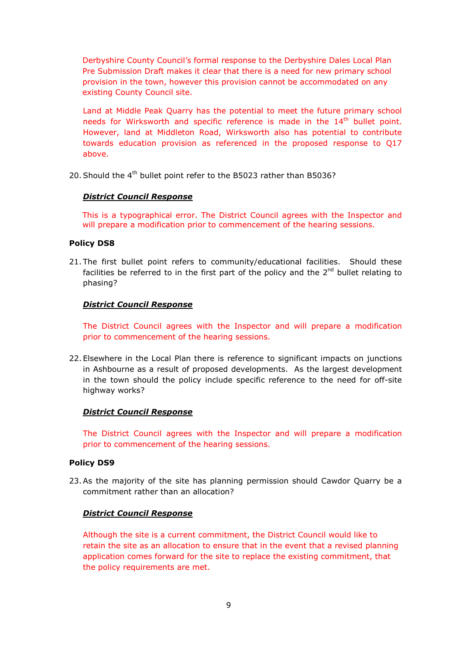Derbyshire County Council's formal response to the Derbyshire Dales Local Plan Pre Submission Draft makes it clear that there is a need for new primary school provision in the town, however this provision cannot be accommodated on any existing County Council site.

Land at Middle Peak Quarry has the potential to meet the future primary school needs for Wirksworth and specific reference is made in the 14<sup>th</sup> bullet point. However, land at Middleton Road, Wirksworth also has potential to contribute towards education provision as referenced in the proposed response to Q17 above.

20. Should the 4<sup>th</sup> bullet point refer to the B5023 rather than B5036?

#### District Council Response

This is a typographical error. The District Council agrees with the Inspector and will prepare a modification prior to commencement of the hearing sessions.

#### Policy DS8

21. The first bullet point refers to community/educational facilities. Should these facilities be referred to in the first part of the policy and the  $2<sup>nd</sup>$  bullet relating to phasing?

#### District Council Response

The District Council agrees with the Inspector and will prepare a modification prior to commencement of the hearing sessions.

22. Elsewhere in the Local Plan there is reference to significant impacts on junctions in Ashbourne as a result of proposed developments. As the largest development in the town should the policy include specific reference to the need for off-site highway works?

#### District Council Response

The District Council agrees with the Inspector and will prepare a modification prior to commencement of the hearing sessions.

#### Policy DS9

23.As the majority of the site has planning permission should Cawdor Quarry be a commitment rather than an allocation?

#### District Council Response

Although the site is a current commitment, the District Council would like to retain the site as an allocation to ensure that in the event that a revised planning application comes forward for the site to replace the existing commitment, that the policy requirements are met.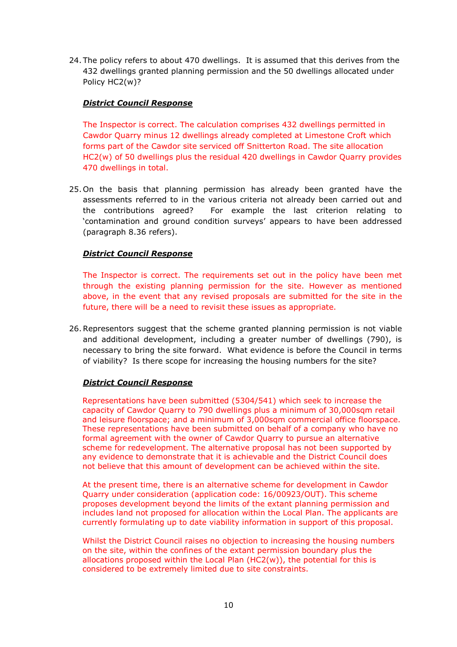24. The policy refers to about 470 dwellings. It is assumed that this derives from the 432 dwellings granted planning permission and the 50 dwellings allocated under Policy HC2(w)?

# District Council Response

The Inspector is correct. The calculation comprises 432 dwellings permitted in Cawdor Quarry minus 12 dwellings already completed at Limestone Croft which forms part of the Cawdor site serviced off Snitterton Road. The site allocation HC2(w) of 50 dwellings plus the residual 420 dwellings in Cawdor Quarry provides 470 dwellings in total.

25. On the basis that planning permission has already been granted have the assessments referred to in the various criteria not already been carried out and the contributions agreed? For example the last criterion relating to 'contamination and ground condition surveys' appears to have been addressed (paragraph 8.36 refers).

# District Council Response

The Inspector is correct. The requirements set out in the policy have been met through the existing planning permission for the site. However as mentioned above, in the event that any revised proposals are submitted for the site in the future, there will be a need to revisit these issues as appropriate.

26.Representors suggest that the scheme granted planning permission is not viable and additional development, including a greater number of dwellings (790), is necessary to bring the site forward. What evidence is before the Council in terms of viability? Is there scope for increasing the housing numbers for the site?

# District Council Response

Representations have been submitted (5304/541) which seek to increase the capacity of Cawdor Quarry to 790 dwellings plus a minimum of 30,000sqm retail and leisure floorspace; and a minimum of 3,000sqm commercial office floorspace. These representations have been submitted on behalf of a company who have no formal agreement with the owner of Cawdor Quarry to pursue an alternative scheme for redevelopment. The alternative proposal has not been supported by any evidence to demonstrate that it is achievable and the District Council does not believe that this amount of development can be achieved within the site.

At the present time, there is an alternative scheme for development in Cawdor Quarry under consideration (application code: 16/00923/OUT). This scheme proposes development beyond the limits of the extant planning permission and includes land not proposed for allocation within the Local Plan. The applicants are currently formulating up to date viability information in support of this proposal.

Whilst the District Council raises no objection to increasing the housing numbers on the site, within the confines of the extant permission boundary plus the allocations proposed within the Local Plan (HC2(w)), the potential for this is considered to be extremely limited due to site constraints.